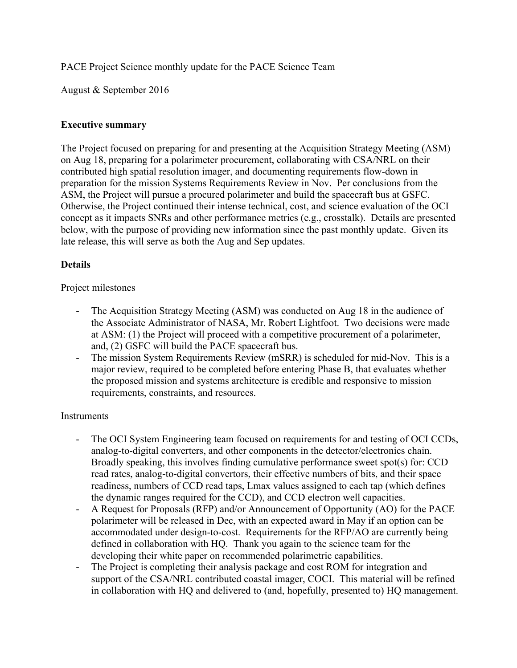PACE Project Science monthly update for the PACE Science Team

August & September 2016

### **Executive summary**

The Project focused on preparing for and presenting at the Acquisition Strategy Meeting (ASM) on Aug 18, preparing for a polarimeter procurement, collaborating with CSA/NRL on their contributed high spatial resolution imager, and documenting requirements flow-down in preparation for the mission Systems Requirements Review in Nov. Per conclusions from the ASM, the Project will pursue a procured polarimeter and build the spacecraft bus at GSFC. Otherwise, the Project continued their intense technical, cost, and science evaluation of the OCI concept as it impacts SNRs and other performance metrics (e.g., crosstalk). Details are presented below, with the purpose of providing new information since the past monthly update. Given its late release, this will serve as both the Aug and Sep updates.

# **Details**

### Project milestones

- The Acquisition Strategy Meeting (ASM) was conducted on Aug 18 in the audience of the Associate Administrator of NASA, Mr. Robert Lightfoot. Two decisions were made at ASM: (1) the Project will proceed with a competitive procurement of a polarimeter, and, (2) GSFC will build the PACE spacecraft bus.
- The mission System Requirements Review (mSRR) is scheduled for mid-Nov. This is a major review, required to be completed before entering Phase B, that evaluates whether the proposed mission and systems architecture is credible and responsive to mission requirements, constraints, and resources.

#### **Instruments**

- The OCI System Engineering team focused on requirements for and testing of OCI CCDs, analog-to-digital converters, and other components in the detector/electronics chain. Broadly speaking, this involves finding cumulative performance sweet spot(s) for: CCD read rates, analog-to-digital convertors, their effective numbers of bits, and their space readiness, numbers of CCD read taps, Lmax values assigned to each tap (which defines the dynamic ranges required for the CCD), and CCD electron well capacities.
- A Request for Proposals (RFP) and/or Announcement of Opportunity (AO) for the PACE polarimeter will be released in Dec, with an expected award in May if an option can be accommodated under design-to-cost. Requirements for the RFP/AO are currently being defined in collaboration with HQ. Thank you again to the science team for the developing their white paper on recommended polarimetric capabilities.
- The Project is completing their analysis package and cost ROM for integration and support of the CSA/NRL contributed coastal imager, COCI. This material will be refined in collaboration with HQ and delivered to (and, hopefully, presented to) HQ management.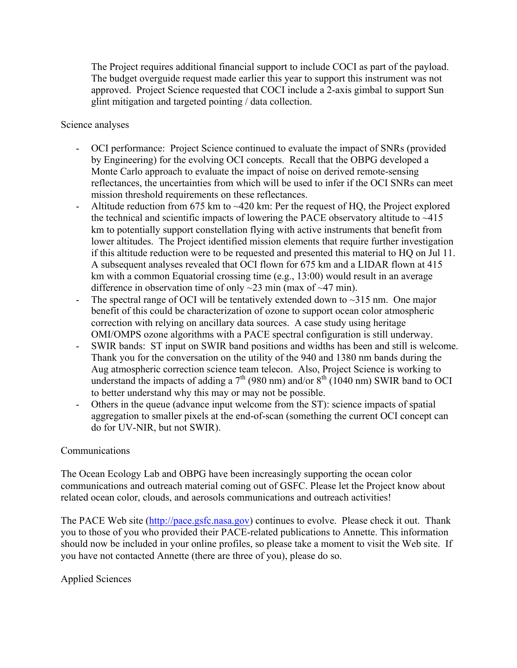The Project requires additional financial support to include COCI as part of the payload. The budget overguide request made earlier this year to support this instrument was not approved. Project Science requested that COCI include a 2-axis gimbal to support Sun glint mitigation and targeted pointing / data collection.

Science analyses

- OCI performance: Project Science continued to evaluate the impact of SNRs (provided by Engineering) for the evolving OCI concepts. Recall that the OBPG developed a Monte Carlo approach to evaluate the impact of noise on derived remote-sensing reflectances, the uncertainties from which will be used to infer if the OCI SNRs can meet mission threshold requirements on these reflectances.
- Altitude reduction from 675 km to ~420 km: Per the request of HQ, the Project explored the technical and scientific impacts of lowering the PACE observatory altitude to  $\sim$ 415 km to potentially support constellation flying with active instruments that benefit from lower altitudes. The Project identified mission elements that require further investigation if this altitude reduction were to be requested and presented this material to HQ on Jul 11. A subsequent analyses revealed that OCI flown for 675 km and a LIDAR flown at 415 km with a common Equatorial crossing time (e.g., 13:00) would result in an average difference in observation time of only  $\sim$ 23 min (max of  $\sim$ 47 min).
- The spectral range of OCI will be tentatively extended down to  $\sim$ 315 nm. One major benefit of this could be characterization of ozone to support ocean color atmospheric correction with relying on ancillary data sources. A case study using heritage OMI/OMPS ozone algorithms with a PACE spectral configuration is still underway.
- SWIR bands: ST input on SWIR band positions and widths has been and still is welcome. Thank you for the conversation on the utility of the 940 and 1380 nm bands during the Aug atmospheric correction science team telecon. Also, Project Science is working to understand the impacts of adding a  $7<sup>th</sup>$  (980 nm) and/or  $8<sup>th</sup>$  (1040 nm) SWIR band to OCI to better understand why this may or may not be possible.
- Others in the queue (advance input welcome from the ST): science impacts of spatial aggregation to smaller pixels at the end-of-scan (something the current OCI concept can do for UV-NIR, but not SWIR).

# Communications

The Ocean Ecology Lab and OBPG have been increasingly supporting the ocean color communications and outreach material coming out of GSFC. Please let the Project know about related ocean color, clouds, and aerosols communications and outreach activities!

The PACE Web site (http://pace.gsfc.nasa.gov) continues to evolve. Please check it out. Thank you to those of you who provided their PACE-related publications to Annette. This information should now be included in your online profiles, so please take a moment to visit the Web site. If you have not contacted Annette (there are three of you), please do so.

# Applied Sciences